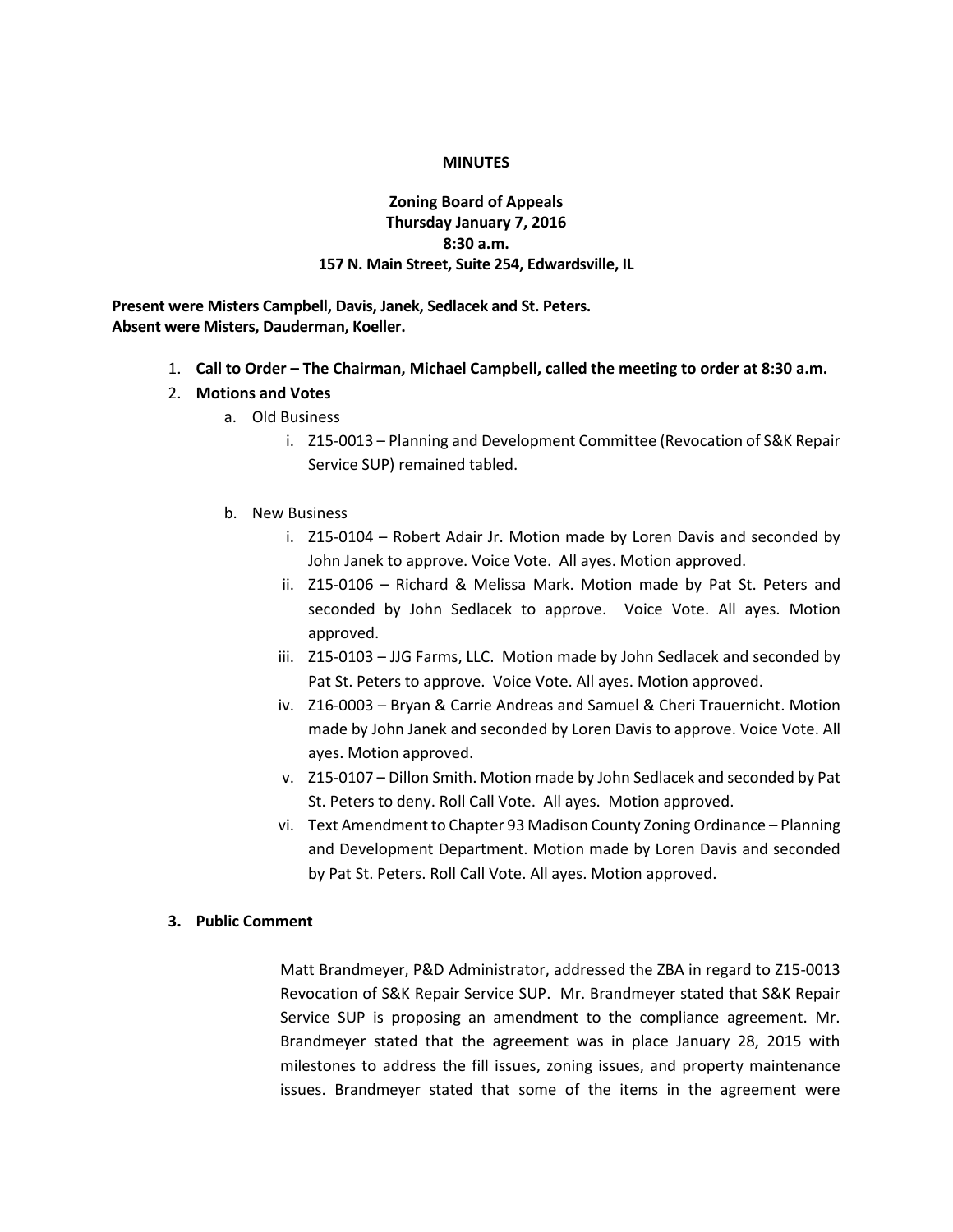### **MINUTES**

# **Zoning Board of Appeals Thursday January 7, 2016 8:30 a.m. 157 N. Main Street, Suite 254, Edwardsville, IL**

**Present were Misters Campbell, Davis, Janek, Sedlacek and St. Peters. Absent were Misters, Dauderman, Koeller.**

- 1. **Call to Order – The Chairman, Michael Campbell, called the meeting to order at 8:30 a.m.**
- 2. **Motions and Votes**
	- a. Old Business
		- i. Z15-0013 Planning and Development Committee (Revocation of S&K Repair Service SUP) remained tabled.
	- b. New Business
		- i. Z15-0104 Robert Adair Jr. Motion made by Loren Davis and seconded by John Janek to approve. Voice Vote. All ayes. Motion approved.
		- ii. Z15-0106 Richard & Melissa Mark. Motion made by Pat St. Peters and seconded by John Sedlacek to approve. Voice Vote. All ayes. Motion approved.
		- iii. Z15-0103 JJG Farms, LLC. Motion made by John Sedlacek and seconded by Pat St. Peters to approve. Voice Vote. All ayes. Motion approved.
		- iv. Z16-0003 Bryan & Carrie Andreas and Samuel & Cheri Trauernicht. Motion made by John Janek and seconded by Loren Davis to approve. Voice Vote. All ayes. Motion approved.
		- v. Z15-0107 Dillon Smith. Motion made by John Sedlacek and seconded by Pat St. Peters to deny. Roll Call Vote. All ayes. Motion approved.
		- vi. Text Amendment to Chapter 93 Madison County Zoning Ordinance Planning and Development Department. Motion made by Loren Davis and seconded by Pat St. Peters. Roll Call Vote. All ayes. Motion approved.

### **3. Public Comment**

Matt Brandmeyer, P&D Administrator, addressed the ZBA in regard to Z15-0013 Revocation of S&K Repair Service SUP. Mr. Brandmeyer stated that S&K Repair Service SUP is proposing an amendment to the compliance agreement. Mr. Brandmeyer stated that the agreement was in place January 28, 2015 with milestones to address the fill issues, zoning issues, and property maintenance issues. Brandmeyer stated that some of the items in the agreement were